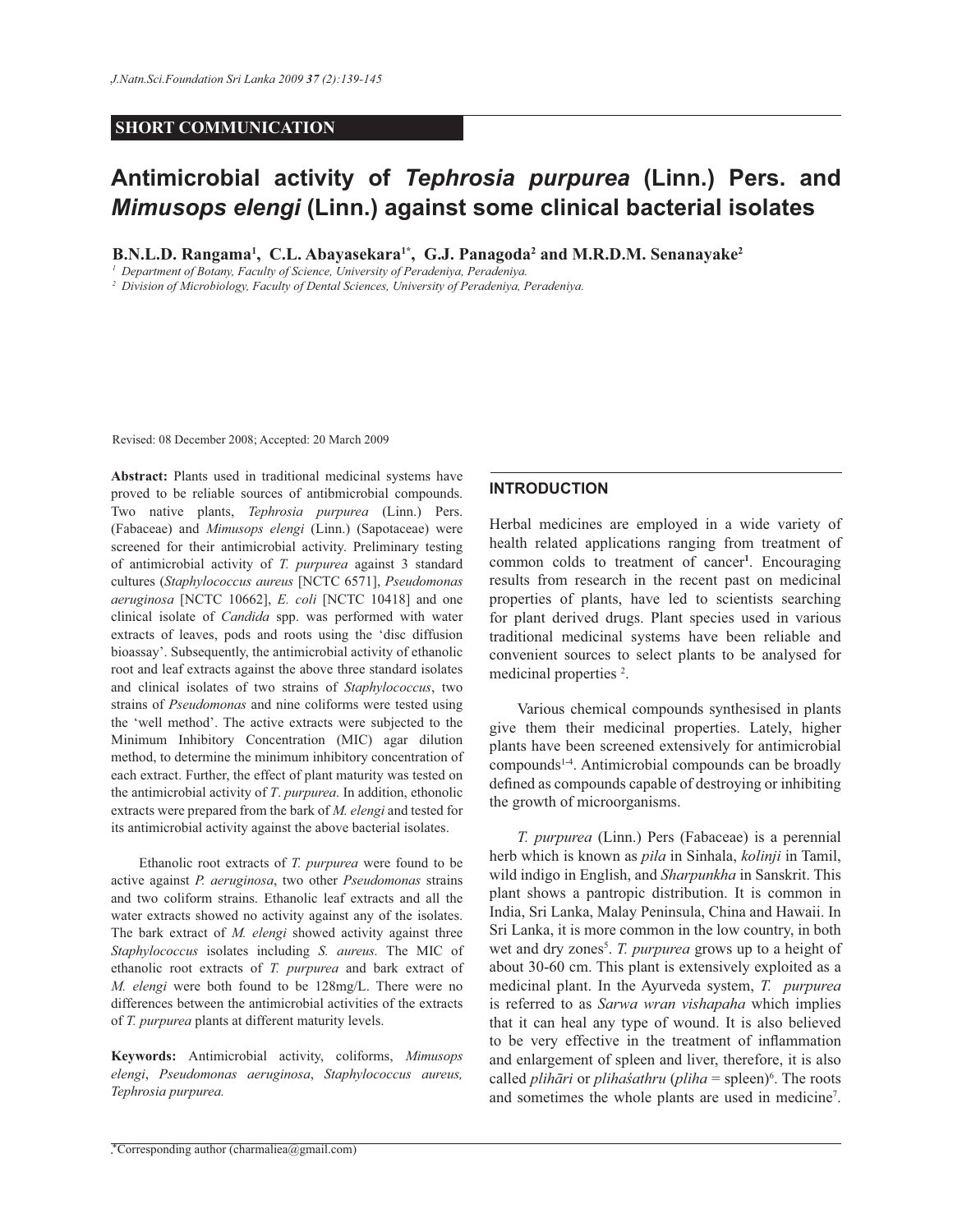## **SHORT COMMUNICATION**

# **Antimicrobial activity of** *Tephrosia purpurea* **(Linn.) Pers. and**  *Mimusops elengi* **(Linn.) against some clinical bacterial isolates**

**B.N.L.D. Rangama<sup>1</sup> , C.L. Abayasekara1\*, G.J. Panagoda<sup>2</sup> and M.R.D.M. Senanayake<sup>2</sup>**

*1 Department of Botany, Faculty of Science, University of Peradeniya, Peradeniya.*

*2 Division of Microbiology, Faculty of Dental Sciences, University of Peradeniya, Peradeniya.*

Revised: 08 December 2008; Accepted: 20 March 2009

**Abstract:** Plants used in traditional medicinal systems have proved to be reliable sources of antibmicrobial compounds. Two native plants, *Tephrosia purpurea* (Linn.) Pers. (Fabaceae) and *Mimusops elengi* (Linn.) (Sapotaceae) were screened for their antimicrobial activity. Preliminary testing of antimicrobial activity of *T. purpurea* against 3 standard cultures (*Staphylococcus aureus* [NCTC 6571], *Pseudomonas aeruginosa* [NCTC 10662], *E. coli* [NCTC 10418] and one clinical isolate of *Candida* spp. was performed with water extracts of leaves, pods and roots using the 'disc diffusion bioassay'. Subsequently, the antimicrobial activity of ethanolic root and leaf extracts against the above three standard isolates and clinical isolates of two strains of *Staphylococcus*, two strains of *Pseudomonas* and nine coliforms were tested using the 'well method'. The active extracts were subjected to the Minimum Inhibitory Concentration (MIC) agar dilution method, to determine the minimum inhibitory concentration of each extract. Further, the effect of plant maturity was tested on the antimicrobial activity of *T*. *purpurea*. In addition, ethonolic extracts were prepared from the bark of *M. elengi* and tested for its antimicrobial activity against the above bacterial isolates.

 Ethanolic root extracts of *T. purpurea* were found to be active against *P. aeruginosa*, two other *Pseudomonas* strains and two coliform strains. Ethanolic leaf extracts and all the water extracts showed no activity against any of the isolates. The bark extract of *M. elengi* showed activity against three *Staphylococcus* isolates including *S. aureus.* The MIC of ethanolic root extracts of *T. purpurea* and bark extract of *M. elengi* were both found to be 128mg/L. There were no differences between the antimicrobial activities of the extracts of *T. purpurea* plants at different maturity levels.

**Keywords:** Antimicrobial activity, coliforms, *Mimusops elengi*, *Pseudomonas aeruginosa*, *Staphylococcus aureus, Tephrosia purpurea.*

#### **INTRODUCTION**

Herbal medicines are employed in a wide variety of health related applications ranging from treatment of common colds to treatment of cancer**<sup>1</sup>** . Encouraging results from research in the recent past on medicinal properties of plants, have led to scientists searching for plant derived drugs. Plant species used in various traditional medicinal systems have been reliable and convenient sources to select plants to be analysed for medicinal properties <sup>2</sup>.

 Various chemical compounds synthesised in plants give them their medicinal properties. Lately, higher plants have been screened extensively for antimicrobial compounds1-4. Antimicrobial compounds can be broadly defined as compounds capable of destroying or inhibiting the growth of microorganisms.

 *T. purpurea* (Linn.) Pers (Fabaceae) is a perennial herb which is known as *pila* in Sinhala, *kolinji* in Tamil, wild indigo in English, and *Sharpunkha* in Sanskrit. This plant shows a pantropic distribution. It is common in India, Sri Lanka, Malay Peninsula, China and Hawaii. In Sri Lanka, it is more common in the low country, in both wet and dry zones<sup>5</sup>. T. purpurea grows up to a height of about 30-60 cm. This plant is extensively exploited as a medicinal plant. In the Ayurveda system, *T. purpurea* is referred to as *Sarwa wran vishapaha* which implies that it can heal any type of wound. It is also believed to be very effective in the treatment of inflammation and enlargement of spleen and liver, therefore, it is also called *plihāri* or *plihaśathru* (*pliha* = spleen)<sup>6</sup>. The roots and sometimes the whole plants are used in medicine<sup>7</sup>.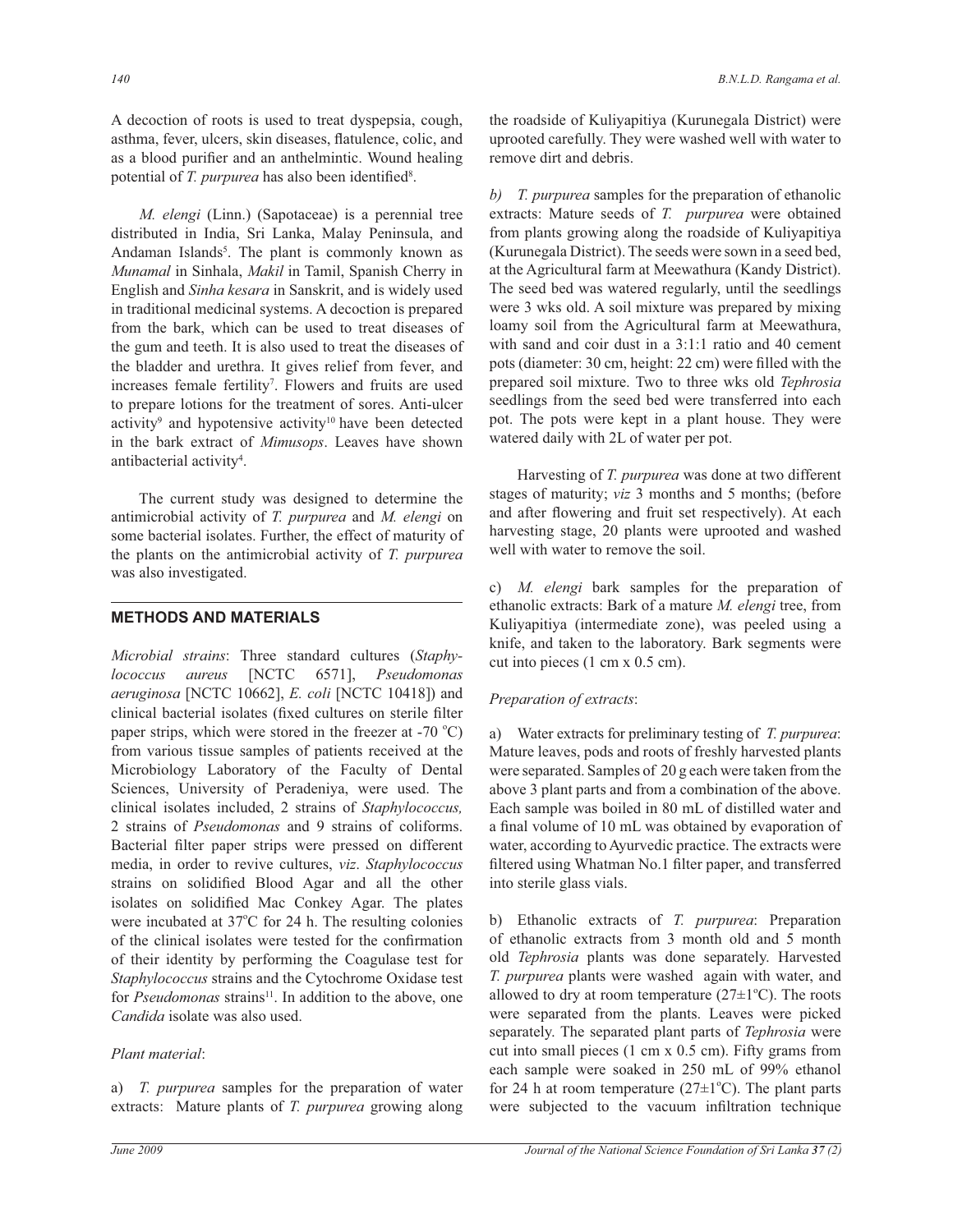A decoction of roots is used to treat dyspepsia, cough, asthma, fever, ulcers, skin diseases, flatulence, colic, and as a blood purifier and an anthelmintic. Wound healing potential of *T. purpurea* has also been identified<sup>8</sup>.

 *M. elengi* (Linn.) (Sapotaceae) is a perennial tree distributed in India, Sri Lanka, Malay Peninsula, and Andaman Islands<sup>5</sup>. The plant is commonly known as *Munamal* in Sinhala, *Makil* in Tamil, Spanish Cherry in English and *Sinha kesara* in Sanskrit, and is widely used in traditional medicinal systems. A decoction is prepared from the bark, which can be used to treat diseases of the gum and teeth. It is also used to treat the diseases of the bladder and urethra. It gives relief from fever, and increases female fertility<sup>7</sup>. Flowers and fruits are used to prepare lotions for the treatment of sores. Anti-ulcer activity<sup>9</sup> and hypotensive activity<sup>10</sup> have been detected in the bark extract of *Mimusops*. Leaves have shown antibacterial activity<sup>4</sup>.

 The current study was designed to determine the antimicrobial activity of *T. purpurea* and *M. elengi* on some bacterial isolates. Further, the effect of maturity of the plants on the antimicrobial activity of *T. purpurea*  was also investigated.

# **METHODS AND MATERIALS**

*Microbial strains*: Three standard cultures (*Staphylococcus aureus* [NCTC 6571], *Pseudomonas aeruginosa* [NCTC 10662], *E. coli* [NCTC 10418] ) and clinical bacterial isolates (fixed cultures on sterile filter paper strips, which were stored in the freezer at  $-70$  °C) from various tissue samples of patients received at the Microbiology Laboratory of the Faculty of Dental Sciences, University of Peradeniya, were used. The clinical isolates included, 2 strains of *Staphylococcus,* 2 strains of *Pseudomonas* and 9 strains of coliforms. Bacterial filter paper strips were pressed on different media, in order to revive cultures, *viz*. *Staphylococcus* strains on solidified Blood Agar and all the other isolates on solidified Mac Conkey Agar. The plates were incubated at  $37^{\circ}$ C for 24 h. The resulting colonies of the clinical isolates were tested for the confirmation of their identity by performing the Coagulase test for *Staphylococcus* strains and the Cytochrome Oxidase test for *Pseudomonas* strains<sup>11</sup>. In addition to the above, one *Candida* isolate was also used.

# *Plant material*:

a) *T. purpurea* samples for the preparation of water extracts: Mature plants of *T. purpurea* growing along the roadside of Kuliyapitiya (Kurunegala District) were uprooted carefully. They were washed well with water to remove dirt and debris.

*b) T. purpurea* samples for the preparation of ethanolic extracts: Mature seeds of *T. purpurea* were obtained from plants growing along the roadside of Kuliyapitiya (Kurunegala District). The seeds were sown in a seed bed, at the Agricultural farm at Meewathura (Kandy District). The seed bed was watered regularly, until the seedlings were 3 wks old. A soil mixture was prepared by mixing loamy soil from the Agricultural farm at Meewathura, with sand and coir dust in a 3:1:1 ratio and 40 cement pots (diameter: 30 cm, height: 22 cm) were filled with the prepared soil mixture. Two to three wks old *Tephrosia* seedlings from the seed bed were transferred into each pot. The pots were kept in a plant house. They were watered daily with 2L of water per pot.

 Harvesting of *T. purpurea* was done at two different stages of maturity; *viz* 3 months and 5 months; (before and after flowering and fruit set respectively). At each harvesting stage, 20 plants were uprooted and washed well with water to remove the soil.

c) *M. elengi* bark samples for the preparation of ethanolic extracts: Bark of a mature *M. elengi* tree, from Kuliyapitiya (intermediate zone), was peeled using a knife, and taken to the laboratory. Bark segments were cut into pieces (1 cm x 0.5 cm).

# *Preparation of extracts*:

a) Water extracts for preliminary testing of *T. purpurea*: Mature leaves, pods and roots of freshly harvested plants were separated. Samples of 20 g each were taken from the above 3 plant parts and from a combination of the above. Each sample was boiled in 80 mL of distilled water and a final volume of 10 mL was obtained by evaporation of water, according to Ayurvedic practice. The extracts were filtered using Whatman No.1 filter paper, and transferred into sterile glass vials.

b) Ethanolic extracts of *T. purpurea*: Preparation of ethanolic extracts from 3 month old and 5 month old *Tephrosia* plants was done separately. Harvested *T. purpurea* plants were washed again with water, and allowed to dry at room temperature  $(27\pm1^{\circ}C)$ . The roots were separated from the plants. Leaves were picked separately. The separated plant parts of *Tephrosia* were cut into small pieces (1 cm x 0.5 cm). Fifty grams from each sample were soaked in 250 mL of 99% ethanol for 24 h at room temperature ( $27\pm1\textdegree$ C). The plant parts were subjected to the vacuum infiltration technique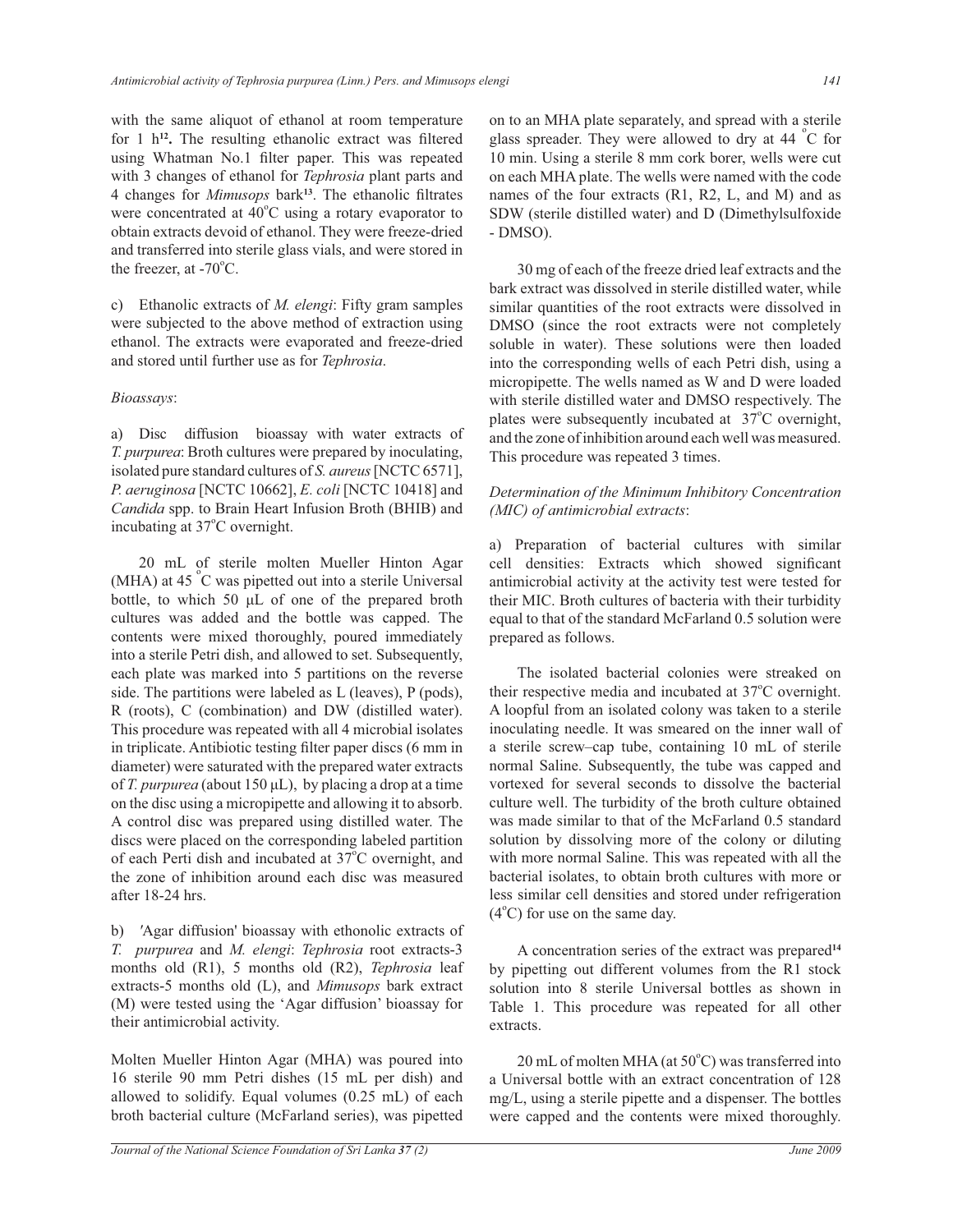with the same aliquot of ethanol at room temperature for 1 h**<sup>12</sup> .** The resulting ethanolic extract was filtered using Whatman No.1 filter paper. This was repeated with 3 changes of ethanol for *Tephrosia* plant parts and 4 changes for *Mimusops* bark**<sup>13</sup>**. The ethanolic filtrates were concentrated at  $40^{\circ}$ C using a rotary evaporator to obtain extracts devoid of ethanol. They were freeze-dried and transferred into sterile glass vials, and were stored in the freezer, at  $-70^{\circ}$ C.

c) Ethanolic extracts of *M. elengi*: Fifty gram samples were subjected to the above method of extraction using ethanol. The extracts were evaporated and freeze-dried and stored until further use as for *Tephrosia*.

## *Bioassays*:

a) Disc diffusion bioassay with water extracts of *T. purpurea*: Broth cultures were prepared by inoculating, isolated pure standard cultures of *S. aureus* [NCTC 6571], *P. aeruginosa* [NCTC 10662], *E. coli* [NCTC 10418] and *Candida* spp. to Brain Heart Infusion Broth (BHIB) and incubating at 37°C overnight.

 20 mL of sterile molten Mueller Hinton Agar (MHA) at 45 °C was pipetted out into a sterile Universal bottle, to which 50 μL of one of the prepared broth cultures was added and the bottle was capped. The contents were mixed thoroughly, poured immediately into a sterile Petri dish, and allowed to set. Subsequently, each plate was marked into 5 partitions on the reverse side. The partitions were labeled as L (leaves), P (pods), R (roots), C (combination) and DW (distilled water). This procedure was repeated with all 4 microbial isolates in triplicate. Antibiotic testing filter paper discs (6 mm in diameter) were saturated with the prepared water extracts of *T. purpurea* (about 150 μL), by placing a drop at a time on the disc using a micropipette and allowing it to absorb. A control disc was prepared using distilled water. The discs were placed on the corresponding labeled partition of each Perti dish and incubated at  $37^{\circ}$ C overnight, and the zone of inhibition around each disc was measured after 18-24 hrs.

b) *'*Agar diffusion' bioassay with ethonolic extracts of *T. purpurea* and *M. elengi*: *Tephrosia* root extracts-3 months old (R1), 5 months old (R2), *Tephrosia* leaf extracts-5 months old (L), and *Mimusops* bark extract (M) were tested using the 'Agar diffusion' bioassay for their antimicrobial activity.

Molten Mueller Hinton Agar (MHA) was poured into 16 sterile 90 mm Petri dishes (15 mL per dish) and allowed to solidify. Equal volumes (0.25 mL) of each broth bacterial culture (McFarland series), was pipetted on to an MHA plate separately, and spread with a sterile glass spreader. They were allowed to dry at 44  $^{\circ}$ C for 10 min. Using a sterile 8 mm cork borer, wells were cut on each MHA plate. The wells were named with the code names of the four extracts (R1, R2, L, and M) and as SDW (sterile distilled water) and D (Dimethylsulfoxide - DMSO).

 30 mg of each of the freeze dried leaf extracts and the bark extract was dissolved in sterile distilled water, while similar quantities of the root extracts were dissolved in DMSO (since the root extracts were not completely soluble in water). These solutions were then loaded into the corresponding wells of each Petri dish, using a micropipette. The wells named as W and D were loaded with sterile distilled water and DMSO respectively. The plates were subsequently incubated at  $37^{\circ}$ C overnight, and the zone of inhibition around each well was measured. This procedure was repeated 3 times.

## *Determination of the Minimum Inhibitory Concentration (MIC) of antimicrobial extracts*:

a) Preparation of bacterial cultures with similar cell densities: Extracts which showed significant antimicrobial activity at the activity test were tested for their MIC. Broth cultures of bacteria with their turbidity equal to that of the standard McFarland 0.5 solution were prepared as follows.

 The isolated bacterial colonies were streaked on their respective media and incubated at 37°C overnight. A loopful from an isolated colony was taken to a sterile inoculating needle. It was smeared on the inner wall of a sterile screw–cap tube, containing 10 mL of sterile normal Saline. Subsequently, the tube was capped and vortexed for several seconds to dissolve the bacterial culture well. The turbidity of the broth culture obtained was made similar to that of the McFarland 0.5 standard solution by dissolving more of the colony or diluting with more normal Saline. This was repeated with all the bacterial isolates, to obtain broth cultures with more or less similar cell densities and stored under refrigeration  $(4^{\circ}C)$  for use on the same day.

 A concentration series of the extract was prepared**<sup>14</sup>** by pipetting out different volumes from the R1 stock solution into 8 sterile Universal bottles as shown in Table 1. This procedure was repeated for all other extracts.

 $20$  mL of molten MHA (at  $50^{\circ}$ C) was transferred into a Universal bottle with an extract concentration of 128 mg/L, using a sterile pipette and a dispenser. The bottles were capped and the contents were mixed thoroughly.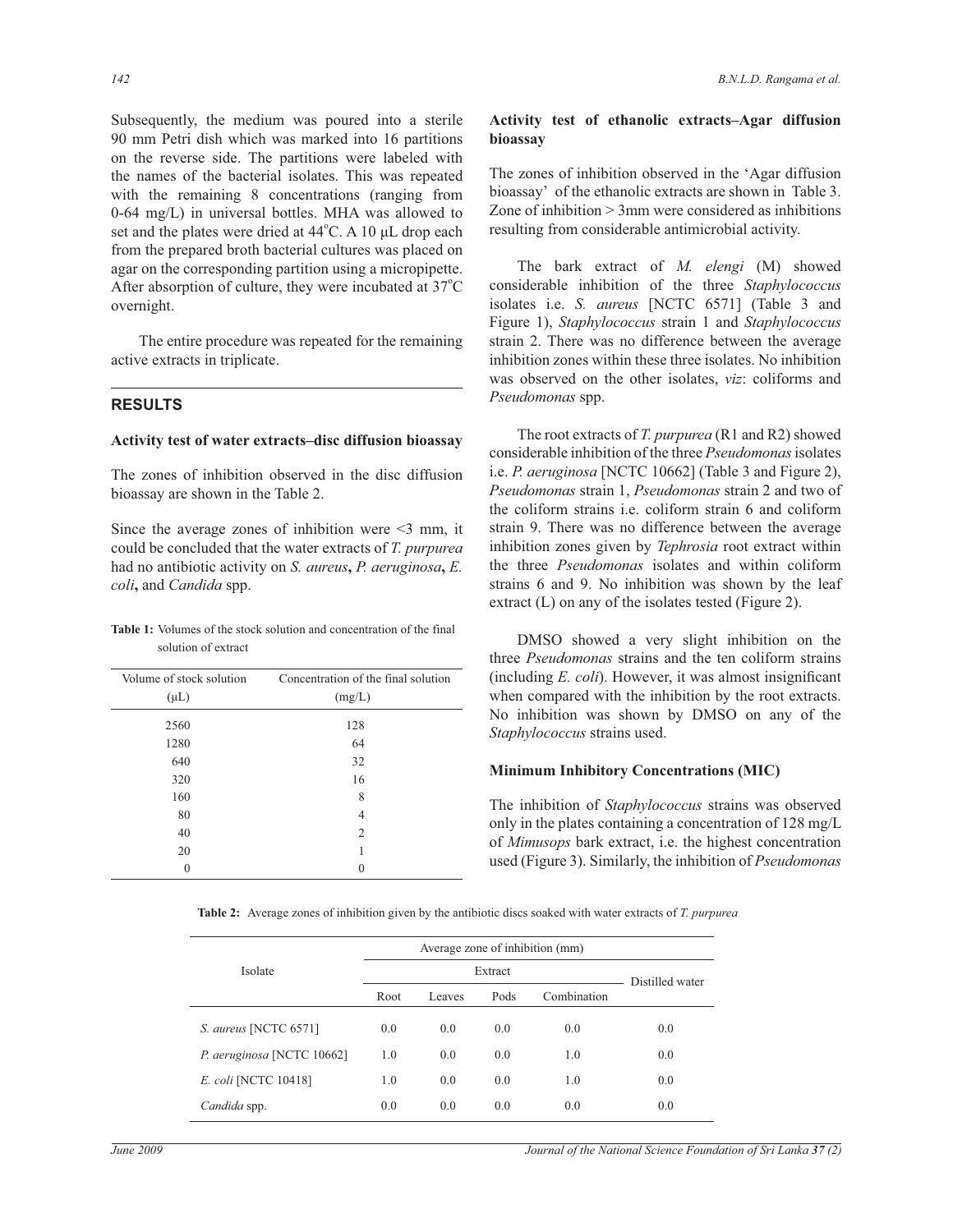Subsequently, the medium was poured into a sterile 90 mm Petri dish which was marked into 16 partitions on the reverse side. The partitions were labeled with the names of the bacterial isolates. This was repeated with the remaining 8 concentrations (ranging from 0-64 mg/L) in universal bottles. MHA was allowed to set and the plates were dried at 44°C. A 10 μL drop each from the prepared broth bacterial cultures was placed on agar on the corresponding partition using a micropipette. After absorption of culture, they were incubated at  $37^{\circ}$ C overnight.

 The entire procedure was repeated for the remaining active extracts in triplicate.

## **RESULTS**

#### **Activity test of water extracts–disc diffusion bioassay**

The zones of inhibition observed in the disc diffusion bioassay are shown in the Table 2.

Since the average zones of inhibition were  $\leq$  mm, it could be concluded that the water extracts of *T. purpurea* had no antibiotic activity on *S. aureus***,** *P. aeruginosa***,** *E. coli***,** and *Candida* spp.

**Table 1:** Volumes of the stock solution and concentration of the final solution of extract

| Volume of stock solution<br>$(\mu L)$ | Concentration of the final solution<br>(mg/L) |  |  |  |  |
|---------------------------------------|-----------------------------------------------|--|--|--|--|
| 2560                                  | 128                                           |  |  |  |  |
| 1280                                  | 64                                            |  |  |  |  |
| 640                                   | 32                                            |  |  |  |  |
| 320                                   | 16                                            |  |  |  |  |
| 160                                   | 8                                             |  |  |  |  |
| 80                                    | 4                                             |  |  |  |  |
| 40                                    | $\overline{2}$                                |  |  |  |  |
| 20                                    | 1                                             |  |  |  |  |
| $\theta$                              |                                               |  |  |  |  |

## **Activity test of ethanolic extracts–Agar diffusion bioassay**

The zones of inhibition observed in the 'Agar diffusion bioassay' of the ethanolic extracts are shown in Table 3. Zone of inhibition > 3mm were considered as inhibitions resulting from considerable antimicrobial activity.

 The bark extract of *M. elengi* (M) showed considerable inhibition of the three *Staphylococcus* isolates i.e. *S. aureus* [NCTC 6571] (Table 3 and Figure 1), *Staphylococcus* strain 1 and *Staphylococcus*  strain 2. There was no difference between the average inhibition zones within these three isolates. No inhibition was observed on the other isolates, *viz*: coliforms and *Pseudomonas* spp.

 The root extracts of *T. purpurea* (R1 and R2) showed considerable inhibition of the three *Pseudomonas* isolates i.e. *P. aeruginosa* [NCTC 10662] (Table 3 and Figure 2), *Pseudomonas* strain 1, *Pseudomonas* strain 2 and two of the coliform strains i.e. coliform strain 6 and coliform strain 9. There was no difference between the average inhibition zones given by *Tephrosia* root extract within the three *Pseudomonas* isolates and within coliform strains 6 and 9. No inhibition was shown by the leaf extract (L) on any of the isolates tested (Figure 2).

 DMSO showed a very slight inhibition on the three *Pseudomonas* strains and the ten coliform strains (including *E. coli*). However, it was almost insignificant when compared with the inhibition by the root extracts. No inhibition was shown by DMSO on any of the *Staphylococcus* strains used.

## **Minimum Inhibitory Concentrations (MIC)**

The inhibition of *Staphylococcus* strains was observed only in the plates containing a concentration of 128 mg/L of *Mimusops* bark extract, i.e. the highest concentration used (Figure 3). Similarly, the inhibition of *Pseudomonas*

 **Table 2:** Average zones of inhibition given by the antibiotic discs soaked with water extracts of *T. purpurea*

| Isolate                     |      |                 |      |             |     |
|-----------------------------|------|-----------------|------|-------------|-----|
|                             |      | Distilled water |      |             |     |
|                             | Root | Leaves          | Pods | Combination |     |
| S. aureus [NCTC 6571]       | 0.0  | 0.0             | 0.0  | 0.0         | 0.0 |
| P. aeruginosa [NCTC 10662]  | 1.0  | 0.0             | 0.0  | 1.0         | 0.0 |
| <i>E. coli</i> [NCTC 10418] | 1.0  | 0.0             | 0.0  | 1.0         | 0.0 |
| Candida spp.                | 0.0  | 0.0             | 0.0  | 0.0         | 0.0 |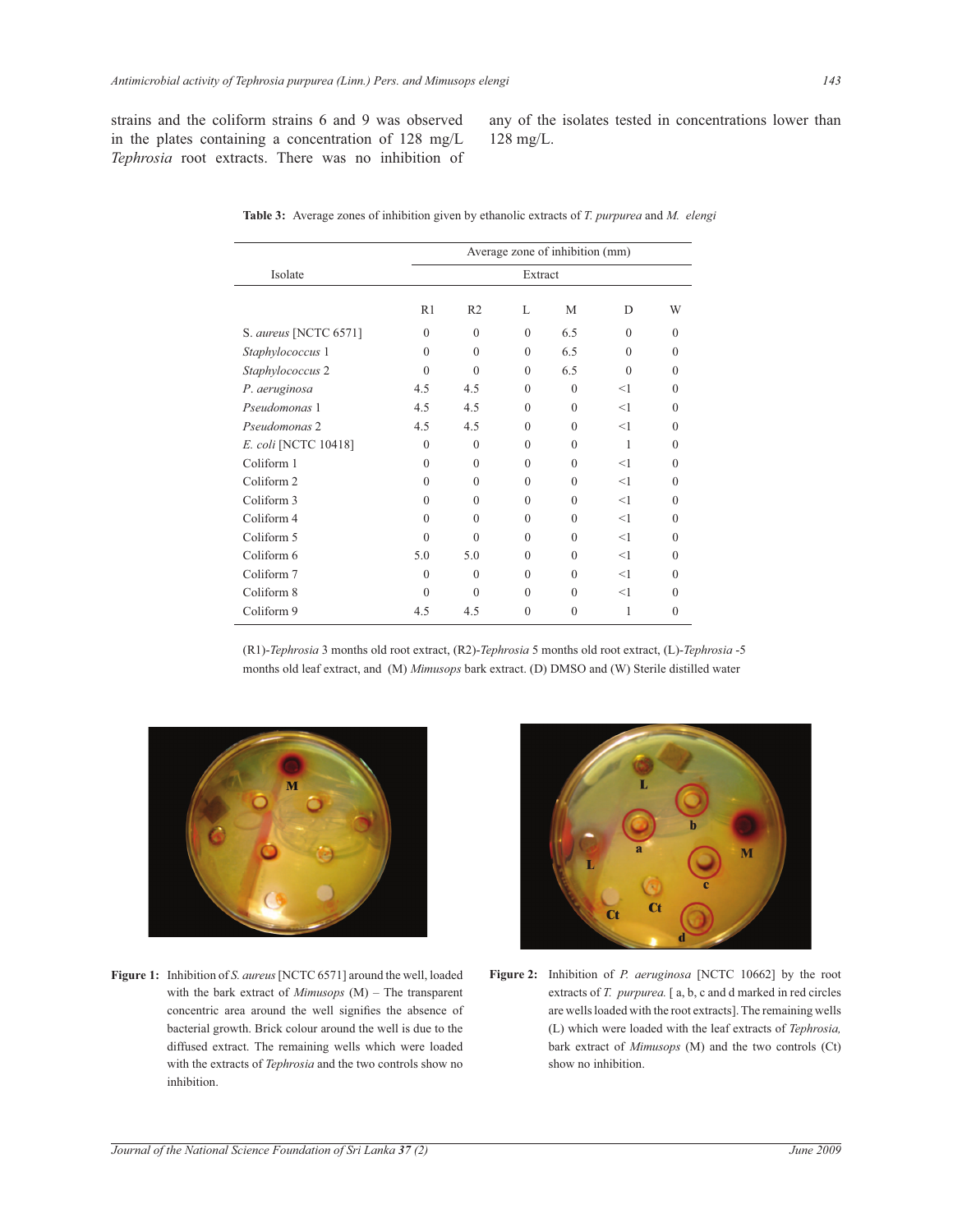strains and the coliform strains 6 and 9 was observed in the plates containing a concentration of 128 mg/L *Tephrosia* root extracts. There was no inhibition of any of the isolates tested in concentrations lower than 128 mg/L.

|                       | Average zone of inhibition (mm) |                |              |          |          |          |  |  |
|-----------------------|---------------------------------|----------------|--------------|----------|----------|----------|--|--|
| Isolate               | Extract                         |                |              |          |          |          |  |  |
|                       | R1                              | R <sub>2</sub> | $\mathbf{L}$ | M        | D        | W        |  |  |
| S. aureus [NCTC 6571] | $\theta$                        | $\theta$       | $\theta$     | 6.5      | $\Omega$ | $\Omega$ |  |  |
| Staphylococcus 1      | $\theta$                        | $\Omega$       | $\theta$     | 6.5      | $\Omega$ | $\Omega$ |  |  |
| Staphylococcus 2      | $\Omega$                        | $\Omega$       | $\theta$     | 6.5      | $\theta$ | $\theta$ |  |  |
| P. aeruginosa         | 4.5                             | 4.5            | $\theta$     | $\Omega$ | <1       | $\Omega$ |  |  |
| Pseudomonas 1         | 4.5                             | 4.5            | $\Omega$     | $\Omega$ | $<$ 1    | $\Omega$ |  |  |
| Pseudomonas 2         | 4.5                             | 4.5            | $\theta$     | $\Omega$ | $<$ 1    | $\theta$ |  |  |
| E. coli [NCTC 10418]  | $\theta$                        | $\Omega$       | $\Omega$     | $\Omega$ | 1        | $\theta$ |  |  |
| Coliform 1            | $\Omega$                        | $\Omega$       | $\theta$     | $\Omega$ | <1       | $\Omega$ |  |  |
| Coliform 2            | $\Omega$                        | $\Omega$       | $\theta$     | $\Omega$ | $<$ 1    | $\Omega$ |  |  |
| Coliform 3            | $\Omega$                        | $\Omega$       | $\Omega$     | $\Omega$ | $<$ 1    | $\Omega$ |  |  |
| Coliform 4            | $\Omega$                        | $\Omega$       | $\theta$     | $\Omega$ | <1       | $\Omega$ |  |  |
| Coliform 5            | $\Omega$                        | $\Omega$       | $\Omega$     | $\Omega$ | <1       | $\Omega$ |  |  |
| Coliform 6            | 5.0                             | 5.0            | $\Omega$     | $\Omega$ | <1       | $\Omega$ |  |  |
| Coliform 7            | $\theta$                        | $\Omega$       | $\theta$     | $\Omega$ | $<$ 1    | $\Omega$ |  |  |
| Coliform 8            | $\Omega$                        | $\Omega$       | $\theta$     | $\Omega$ | $<$ 1    | $\Omega$ |  |  |
| Coliform 9            | 4.5                             | 4.5            | $\theta$     | $\Omega$ | 1        | $\theta$ |  |  |
|                       |                                 |                |              |          |          |          |  |  |

**Table 3:** Average zones of inhibition given by ethanolic extracts of *T. purpurea* and *M. elengi*

(R1)-*Tephrosia* 3 months old root extract, (R2)-*Tephrosia* 5 months old root extract, (L)-*Tephrosia* -5 months old leaf extract, and (M) *Mimusops* bark extract. (D) DMSO and (W) Sterile distilled water



**Figure 1:** Inhibition of *S. aureus* [NCTC 6571] around the well, loaded with the bark extract of *Mimusops* (M) – The transparent concentric area around the well signifies the absence of bacterial growth. Brick colour around the well is due to the diffused extract. The remaining wells which were loaded with the extracts of *Tephrosia* and the two controls show no inhibition.



**Figure 2:** Inhibition of *P. aeruginosa* [NCTC 10662] by the root extracts of *T. purpurea.* [ a, b, c and d marked in red circles are wells loaded with the root extracts]. The remaining wells (L) which were loaded with the leaf extracts of *Tephrosia,* bark extract of *Mimusops* (M) and the two controls (Ct) show no inhibition.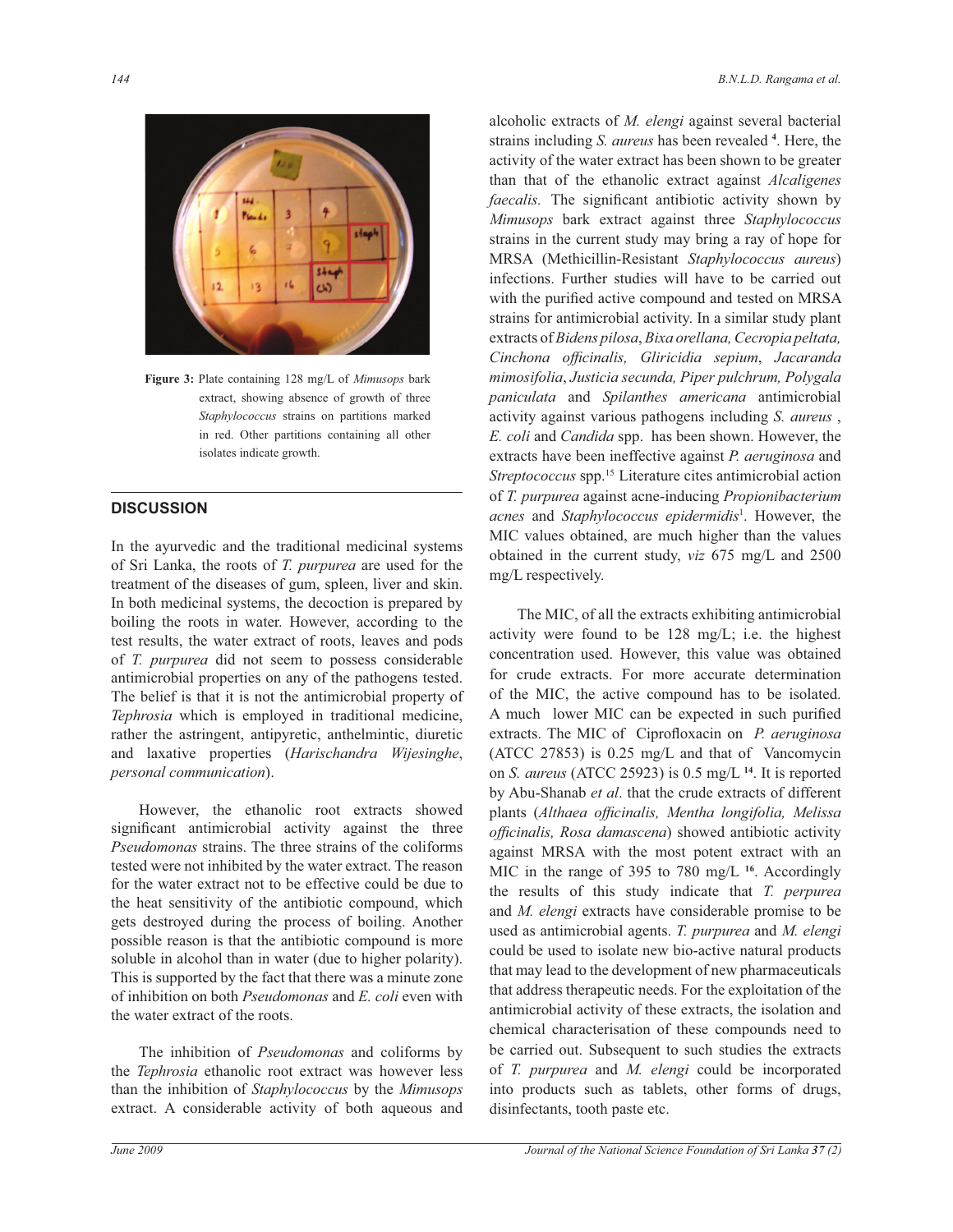

**Figure 3:** Plate containing 128 mg/L of *Mimusops* bark extract, showing absence of growth of three *Staphylococcus* strains on partitions marked in red. Other partitions containing all other isolates indicate growth.

# **DISCUSSION**

In the ayurvedic and the traditional medicinal systems of Sri Lanka, the roots of *T. purpurea* are used for the treatment of the diseases of gum, spleen, liver and skin. In both medicinal systems, the decoction is prepared by boiling the roots in water. However, according to the test results, the water extract of roots, leaves and pods of *T. purpurea* did not seem to possess considerable antimicrobial properties on any of the pathogens tested. The belief is that it is not the antimicrobial property of *Tephrosia* which is employed in traditional medicine, rather the astringent, antipyretic, anthelmintic, diuretic and laxative properties (*Harischandra Wijesinghe*, *personal communication*).

 However, the ethanolic root extracts showed significant antimicrobial activity against the three *Pseudomonas* strains. The three strains of the coliforms tested were not inhibited by the water extract. The reason for the water extract not to be effective could be due to the heat sensitivity of the antibiotic compound, which gets destroyed during the process of boiling. Another possible reason is that the antibiotic compound is more soluble in alcohol than in water (due to higher polarity). This is supported by the fact that there was a minute zone of inhibition on both *Pseudomonas* and *E. coli* even with the water extract of the roots.

 The inhibition of *Pseudomonas* and coliforms by the *Tephrosia* ethanolic root extract was however less than the inhibition of *Staphylococcus* by the *Mimusops*  extract. A considerable activity of both aqueous and

alcoholic extracts of *M. elengi* against several bacterial strains including *S. aureus* has been revealed **<sup>4</sup>** . Here, the activity of the water extract has been shown to be greater than that of the ethanolic extract against *Alcaligenes faecalis.*The significant antibiotic activity shown by *Mimusops* bark extract against three *Staphylococcus* strains in the current study may bring a ray of hope for MRSA (Methicillin-Resistant *Staphylococcus aureus*) infections. Further studies will have to be carried out with the purified active compound and tested on MRSA strains for antimicrobial activity. In a similar study plant extracts of *Bidens pilosa*, *Bixa orellana, Cecropia peltata, Cinchona officinalis, Gliricidia sepium*, *Jacaranda mimosifolia*, *Justicia secunda, Piper pulchrum, Polygala paniculata* and *Spilanthes americana* antimicrobial activity against various pathogens including *S. aureus* , *E. coli* and *Candida* spp. has been shown. However, the extracts have been ineffective against *P. aeruginosa* and Streptococcus spp.<sup>15</sup> Literature cites antimicrobial action of *T. purpurea* against acne-inducing *Propionibacterium acnes* and *Staphylococcus epidermidis*<sup>1</sup> . However, the MIC values obtained, are much higher than the values obtained in the current study, *viz* 675 mg/L and 2500 mg/L respectively.

 The MIC, of all the extracts exhibiting antimicrobial activity were found to be 128 mg/L; i.e. the highest concentration used. However, this value was obtained for crude extracts. For more accurate determination of the MIC, the active compound has to be isolated. A much lower MIC can be expected in such purified extracts. The MIC of Ciprofloxacin on *P. aeruginosa* (ATCC 27853) is 0.25 mg/L and that of Vancomycin on *S. aureus* (ATCC 25923) is 0.5 mg/L **<sup>14</sup>**. It is reported by Abu-Shanab *et al*. that the crude extracts of different plants (*Althaea officinalis, Mentha longifolia, Melissa officinalis, Rosa damascena*) showed antibiotic activity against MRSA with the most potent extract with an MIC in the range of 395 to 780 mg/L **<sup>16</sup>**. Accordingly the results of this study indicate that *T. perpurea* and *M. elengi* extracts have considerable promise to be used as antimicrobial agents. *T. purpurea* and *M. elengi* could be used to isolate new bio-active natural products that may lead to the development of new pharmaceuticals that address therapeutic needs. For the exploitation of the antimicrobial activity of these extracts, the isolation and chemical characterisation of these compounds need to be carried out. Subsequent to such studies the extracts of *T. purpurea* and *M. elengi* could be incorporated into products such as tablets, other forms of drugs, disinfectants, tooth paste etc.